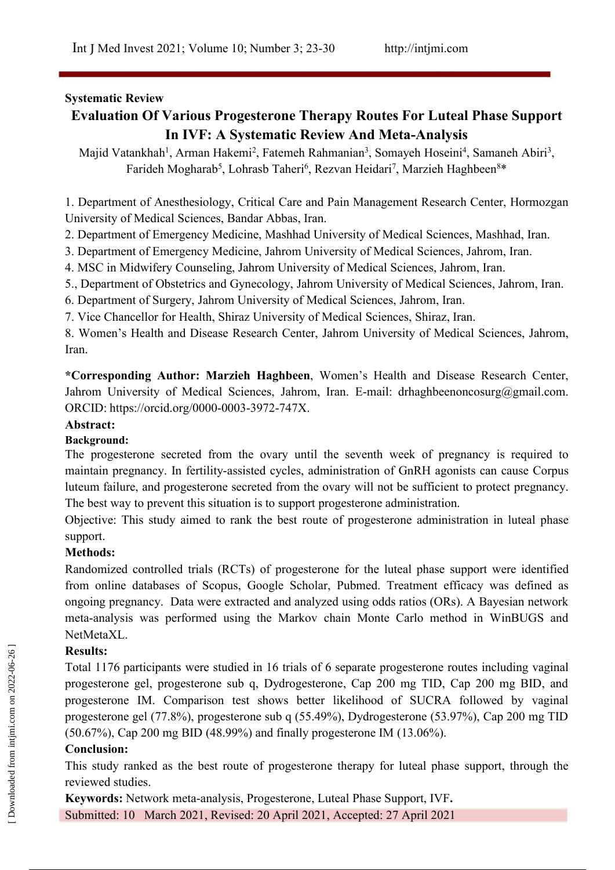## **Systematic Review**

# **Evaluation Of Various Progesterone Therapy Routes For Luteal Phase Support In IVF: A Systematic Review And Meta-Analysis**

Majid Vatankhah<sup>1</sup>, Arman Hakemi<sup>2</sup>, Fatemeh Rahmanian<sup>3</sup>, Somayeh Hoseini<sup>4</sup>, Samaneh Abiri<sup>3</sup>, , Farideh Mogharab<sup>5</sup>, Lohrasb Taheri<sup>6</sup>, Rezvan Heidari<sup>7</sup>, Marzieh Haghbeen<sup>8\*</sup>  $8*$ 

1. Department of Anesthesiology, Critical Care and Pain Management Research Center, Hormozgan University of Medical Sciences, Bandar Abbas, Iran.

2. Department of Emergency Medicine, Mashhad University of Medical Sciences, Mashhad, Iran.

3. Department of Emergency Medicine, Jahrom University of Medical Sciences, Jahrom, Iran.

4. MSC in Midwifery Counseling, Jahrom University of Medical Sciences, Jahrom, Iran.

5., Department of Obstetrics and Gynecology, Jahrom University of Medical Sciences, Jahrom, Iran.

6. Department of Surgery, Jahrom University of Medical Sciences, Jahrom, Iran.

7. Vice Chancellor for Health, Shiraz University of Medical Sciences, Shiraz, Iran.

8. Women's Health and Disease Research Center, Jahrom University of Medical Sciences, Jahrom, Iran.

**\*Corresponding Author: Marzieh Haghbeen**, Women's Health and Disease Research Center, Jahrom University of Medical Sciences, Jahrom, Iran. E-mail: [drhaghbeenoncosurg@gmail.com.](mailto:drhaghbeenoncosurg@gmail.com) ORCID: https://orcid.org/0000-0003-3972-747X.

#### **Abstract:**

#### **Background:**

The progesterone secreted from the ovary until the seventh week of pregnancy is required to maintain pregnancy.In fertility-assisted cycles, administration of GnRH agonists can cause Corpus luteum failure, and progesterone secreted from the ovary will not be sufficient to protect pregnancy. The best way to prevent this situation is to support progesterone administration.

Objective: This study aimed to rank the best route of progesterone administration in luteal phase support.

#### **Methods:**

Randomized controlled trials (RCTs) of progesterone for the luteal phase support were identified from online databases of Scopus, Google Scholar, Pubmed. Treatment efficacy was defined as ongoing pregnancy. Data were extracted and analyzed using odds ratios (ORs). A Bayesian network meta-analysis was performed using the Markov chain Monte Carlo method in WinBUGS and NetMetaXL.

# **Results:**

Total 1176 participants were studied in 16 trials of 6 separate progesterone routes including vaginal progesterone gel, progesterone sub q, Dydrogesterone, Cap 200 mg TID, Cap 200 mg BID, and progesterone IM. Comparison test shows better likelihood of SUCRA followed by vaginal progesterone gel (77.8%), progesterone sub q (55.49%), Dydrogesterone (53.97%), Cap 200 mg TID (50.67%), Cap 200 mg BID (48.99%) and finally progesterone IM (13.06%). Results:<br>
Total 1176 participants were studied in 16 trials of 6 separate progesterone routes including<br>
progesterone gel, progesterone sub q, Dydrogesterone, Cap 200 mg TID, Cap 200 mg<br>
progesterone IM. Comparison test sh

#### **Conclusion:**

This study ranked as the best route of progesterone therapy for luteal phase support, through the reviewed studies.

**Keywords:** Network meta-analysis, Progesterone, Luteal Phase Support,IVF**.**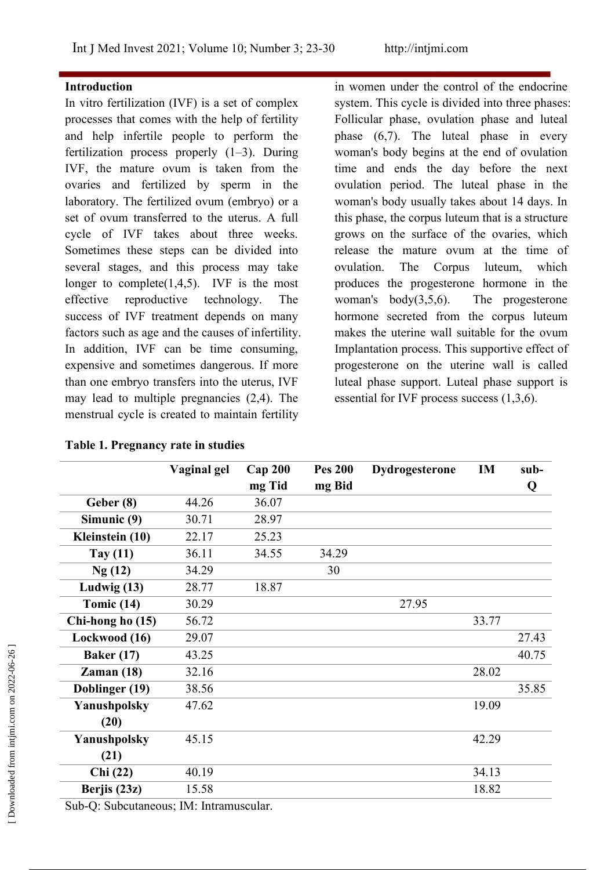#### **Introduction**

In vitro fertilization (IVF) is a set of complex processes that comes with the help of fertility and help infertile people to perform the fertilization process properly (1–3). During IVF, the mature ovum is taken from the ovaries and fertilized by sperm in the laboratory. The fertilized ovum (embryo) or a set of ovum transferred to the uterus. A full cycle of IVF takes about three weeks. Sometimes these steps can be divided into several stages, and this process may take ovulation. longer to complete $(1,4,5)$ . IVF is the most effective reproductive technology. The success of IVF treatment depends on many factors such as age and the causes of infertility. In addition, IVF can be time consuming, expensive and sometimes dangerous. If more than one embryo transfers into the uterus, IVF may lead to multiple pregnancies  $(2,4)$ . The menstrual cycle is created to maintain fertility

in women under the control of the endocrine system. This cycle is divided into three phases: Follicular phase, ovulation phase and luteal phase  $(6,7)$ . The luteal phase in every woman's body begins at the end of ovulation time and ends the day before the next ovulation period. The luteal phase in the woman's body usually takes about 14 days. In this phase, the corpus luteum that is a structure grows on the surface of the ovaries, which release the mature ovum at the time of The Corpus luteum, which produces the progesterone hormone in the woman's body(3,5,6). The progesterone hormone secreted from the corpus luteum makes the uterine wall suitable for the ovum Implantation process. This supportive effect of progesterone on the uterine wall is called luteal phase support. Luteal phase support is essential for IVF process success (1,3,6).

|                   | Vaginal gel | $Cap$ 200<br>mg Tid | <b>Pes 200</b><br>mg Bid | Dydrogesterone | IM    | sub-<br>Q |
|-------------------|-------------|---------------------|--------------------------|----------------|-------|-----------|
| Geber (8)         | 44.26       | 36.07               |                          |                |       |           |
| Simunic (9)       | 30.71       | 28.97               |                          |                |       |           |
| Kleinstein (10)   | 22.17       | 25.23               |                          |                |       |           |
| Tay $(11)$        | 36.11       | 34.55               | 34.29                    |                |       |           |
| Ng(12)            | 34.29       |                     | 30                       |                |       |           |
| Ludwig $(13)$     | 28.77       | 18.87               |                          |                |       |           |
| Tomic $(14)$      | 30.29       |                     |                          | 27.95          |       |           |
| Chi-hong ho (15)  | 56.72       |                     |                          |                | 33.77 |           |
| Lockwood (16)     | 29.07       |                     |                          |                |       | 27.43     |
| <b>Baker</b> (17) | 43.25       |                     |                          |                |       | 40.75     |
| Zaman(18)         | 32.16       |                     |                          |                | 28.02 |           |
| Doblinger (19)    | 38.56       |                     |                          |                |       | 35.85     |
| Yanushpolsky      | 47.62       |                     |                          |                | 19.09 |           |
| (20)              |             |                     |                          |                |       |           |
| Yanushpolsky      | 45.15       |                     |                          |                | 42.29 |           |
| (21)              |             |                     |                          |                |       |           |
| Chi(22)           | 40.19       |                     |                          |                | 34.13 |           |
| Berjis (23z)      | 15.58       |                     |                          |                | 18.82 |           |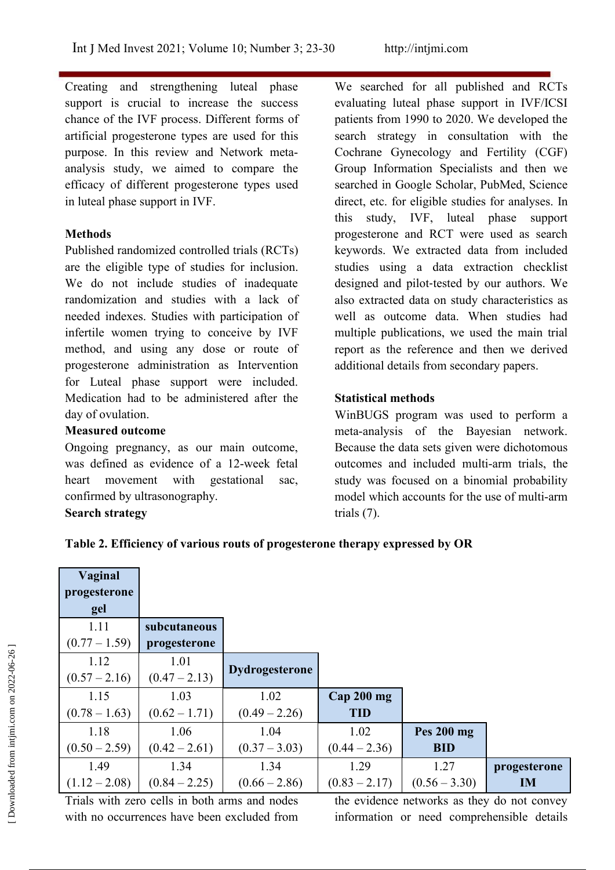Creating and strengthening luteal phase support is crucial to increase the success chance of the IVF process. Different forms of artificial progesterone types are used for this purpose. In this review and Network meta analysis study, we aimed to compare the efficacy of different progesterone types used in luteal phase support in IVF.

## **Methods**

Published randomized controlled trials (RCTs) are the eligible type of studies for inclusion. We do not include studies of inadequate randomization and studies with a lack of needed indexes. Studies with participation of infertile women trying to conceive by IVF method, and using any dose or route of progesterone administration as Intervention for Luteal phase support were included. Medication had to be administered after the day of ovulation.

#### **Measured outcome**

Ongoing pregnancy, as our main outcome, was defined as evidence of a 12-week fetal heart movement with gestational sac, confirmed by ultrasonography. **Search strategy**

We searched for all published and RCTs evaluating luteal phase support in IVF/ICSI patients from 1990 to 2020. We developed the search strategy in consultation with the Cochrane Gynecology and Fertility (CGF) Group Information Specialists and then we searched in Google Scholar, PubMed, Science direct, etc. for eligible studies for analyses. In this study, IVF, luteal phase support progesterone and RCT were used as search keywords. We extracted data from included studies using a data extraction checklist designed and pilot-tested by our authors. We also extracted data on study characteristics as well as outcome data. When studies had multiple publications, we used the main trial report as the reference and then we derived additional details from secondary papers.

# **Statistical methods**

WinBUGS program was used to perform a meta-analysis of the Bayesian network. Because the data sets given were dichotomous outcomes and included multi-arm trials, the study was focused on a binomial probability model which accounts for the use of multi-arm trials (7).

**Table 2. Efficiency of various routs ofprogesterone therapy expressed by OR**

| Vaginal                                     |                                               |                       |                 |                                             |              |
|---------------------------------------------|-----------------------------------------------|-----------------------|-----------------|---------------------------------------------|--------------|
| progesterone                                |                                               |                       |                 |                                             |              |
| gel                                         |                                               |                       |                 |                                             |              |
| 1.11                                        | subcutaneous                                  |                       |                 |                                             |              |
| $(0.77-1.59)$                               | progesterone                                  |                       |                 |                                             |              |
| 1.12                                        | 1.01                                          |                       |                 |                                             |              |
| $(0.57 - 2.16)$                             | $(0.47 - 2.13)$                               | <b>Dydrogesterone</b> |                 |                                             |              |
| 1.15                                        | 1.03                                          | 1.02                  | Cap 200 mg      |                                             |              |
| $(0.78-1.63)$                               | $(0.62 - 1.71)$                               | $(0.49 - 2.26)$       | <b>TID</b>      |                                             |              |
| 1.18                                        | 1.06                                          | 1.04                  | 1.02            | Pes 200 mg                                  |              |
| $(0.50 - 2.59)$                             | $(0.42 - 2.61)$                               | $(0.37 - 3.03)$       | $(0.44 - 2.36)$ | <b>BID</b>                                  |              |
| 1.49                                        | 1.34                                          | 1.34                  | 1.29            | 1.27                                        | progesterone |
| $(1.12 - 2.08)$                             | $(0.84 - 2.25)$                               | $(0.66 - 2.86)$       | $(0.83 - 2.17)$ | $(0.56 - 3.30)$                             | IM           |
|                                             | Trials with zero cells in both arms and nodes |                       |                 | the evidence networks as they do not convey |              |
| with no occurrences have been excluded from |                                               |                       |                 | information or need comprehensible details  |              |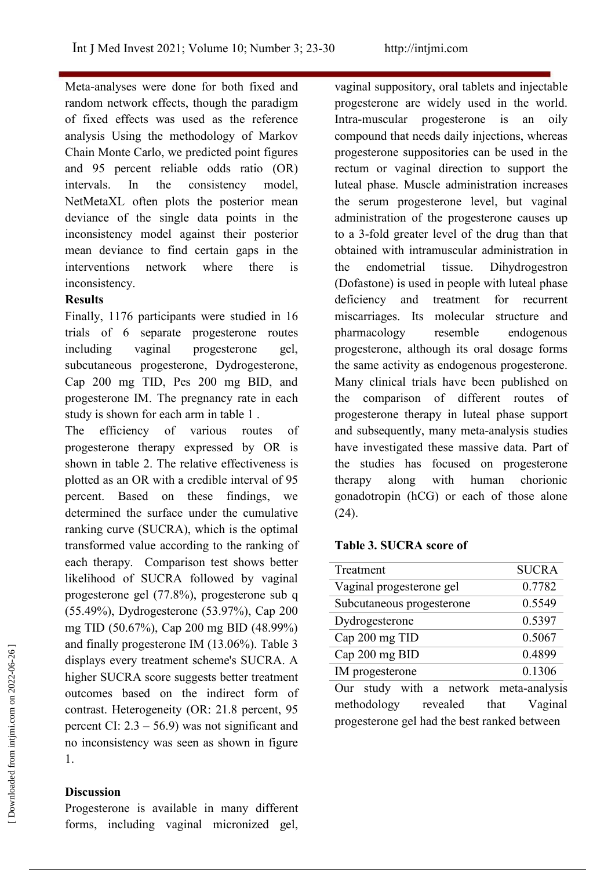Meta-analyses were done for both fixed and random network effects, though the paradigm of fixed effects was used as the reference analysis Using the methodology of Markov Chain Monte Carlo, we predicted point figures and 95 percent reliable odds ratio (OR) intervals. In the consistency model, NetMetaXL often plots the posterior mean deviance of the single data points in the inconsistency model against their posterior mean deviance to find certain gaps in the interventions network where there is the endometrial inconsistency.

#### **Results**

Finally, 1176 participants were studied in 16 trials of 6 separate progesterone routes including vaginal progesterone gel, subcutaneous progesterone, Dydrogesterone, Cap 200 mg TID, Pes 200 mg BID, and progesterone IM. The pregnancy rate in each study is shown for each arm in table 1 .

The efficiency of various routes of progesterone therapy expressed by OR is shown in table 2. The relative effectiveness is plotted as an OR with a credible interval of 95 percent. Based on these findings, we determined the surface under the cumulative ranking curve (SUCRA), which is the optimal transformed value according to the ranking of each therapy. Comparison test shows better likelihood of SUCRA followed by vaginal progesterone gel (77.8%), progesterone sub q (55.49%), Dydrogesterone (53.97%), Cap 200 mg TID (50.67%), Cap 200 mg BID (48.99%) and finally progesterone IM (13.06%). Table 3 displays every treatment scheme's SUCRA. A higher SUCRA score suggests better treatment outcomes based on the indirect form of contrast. Heterogeneity (OR: 21.8 percent, 95<br>methodology revealed that vagina<br>progesterone gel had the best ranked between percent CI:  $2.3 - 56.9$  was not significant and no inconsistency was seen as shown in figure 1. and finally progesterone IM (13.06%). Table 3<br>
displays every treatment scheme's SUCRA. A<br>
higher SUCRA score suggests better treatment<br>
outcomes based on the indirect form of<br>
out study with a network meta-analysis<br>
cont

#### **Discussion**

Progesterone is available in many different forms, including vaginal micronized gel,

vaginal suppository, oral tablets and injectable progesterone are widely used in the world. Intra-muscular progesterone is an oily compound that needs daily injections, whereas progesterone suppositories can be used in the rectum or vaginal direction to support the luteal phase. Muscle administration increases the serum progesterone level, but vaginal administration of the progesterone causes up to a 3-fold greater level of the drug than that obtained with intramuscular administration in tissue. Dihydrogestron (Dofastone) is used in people with luteal phase deficiency and treatment for recurrent miscarriages. Its molecular structure and pharmacology resemble endogenous progesterone, although its oral dosage forms the same activity as endogenous progesterone. Many clinical trials have been published on the comparison of different routes of progesterone therapy in luteal phase support and subsequently, many meta-analysis studies have investigated these massive data. Part of the studies has focused on progesterone with human chorionic gonadotropin (hCG) or each of those alone (24).

#### **Table 3. SUCRA score of**

| Treatment                              | <b>SUCRA</b> |
|----------------------------------------|--------------|
| Vaginal progesterone gel               | 0.7782       |
| Subcutaneous progesterone              | 0.5549       |
| Dydrogesterone                         | 0.5397       |
| Cap 200 mg TID                         | 0.5067       |
| Cap 200 mg BID                         | 0.4899       |
| IM progesterone                        | 0.1306       |
| Our study with a network meta-analysis |              |
| methodology<br>revealed<br>that        | Vaginal      |
|                                        |              |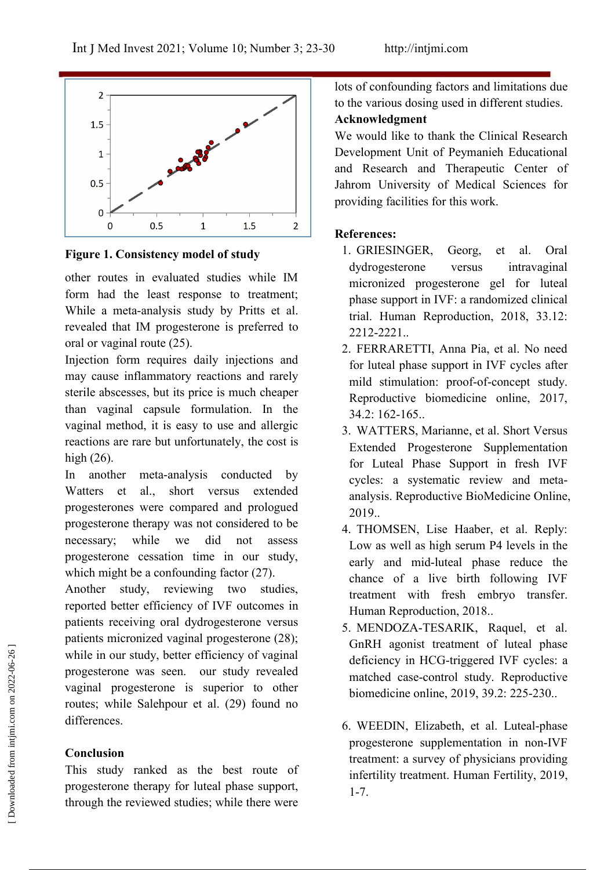

**Figure 1. Consistency model of study**

other routes in evaluated studies while IM form had the least response to treatment; While a meta-analysis study by Pritts et al. revealed that IM progesterone is preferred to oral or vaginal route (25).

Injection form requires daily injections and may cause inflammatory reactions and rarely sterile abscesses, but its price is much cheaper than vaginal capsule formulation. In the vaginal method, it is easy to use and allergic reactions are rare but unfortunately, the cost is high (26).

In another meta-analysis conducted by Watters et al., short versus extended progesterones were compared and prologued progesterone therapy was not considered to be necessary; while we did not assess progesterone cessation time in our study, which might be a confounding factor  $(27)$ .<br>Another study, reviewing two studies,

reported better efficiency of IVF outcomes in patients receiving oral dydrogesterone versus patients micronized vaginal progesterone (28); while in our study, better efficiency of vaginal progesterone was seen. our study revealed vaginal progesterone is superior to other routes; while Salehpour et al. (29) found no differences. The minimum interaction progester of vaginal<br>progesterone was seen. our study revealed<br>vaginal progesterone is superior to other<br>outes; while Salehpour et al. (29) found no<br>differences.<br>**Conclusion**<br>This study ranked as th

#### **Conclusion**

This study ranked as the best route of progesterone therapy for luteal phase support,  $1-7$ . through the reviewed studies; while there were

lots of confounding factors and limitations due to the various dosing used in different studies.

## **Acknowledgment**

We would like to thank the Clinical Research Development Unit of Peymanieh Educational and Research and Therapeutic Center of Jahrom University of Medical Sciences for providing facilities for this work.

## **References:**

- 1. GRIESINGER, Georg, et al. Oral dydrogesterone versus intravaginal micronized progesterone gel for luteal phase support in IVF: a randomized clinical trial. Human Reproduction, 2018, 33.12: 2212-2221..
- 2. FERRARETTI, Anna Pia, et al. No need for luteal phase support in IVF cycles after mild stimulation: proof-of-concept study. Reproductive biomedicine online, 2017, 34.2: 162-165..
- 3. WATTERS, Marianne, et al. Short Versus Extended Progesterone Supplementation for Luteal Phase Support in fresh IVF cycles: a systematic review and meta analysis. Reproductive BioMedicine Online, 2019..
- 4. THOMSEN, Lise Haaber, et al. Reply: Low as well as high serum P4 levels in the early and mid-luteal phase reduce the chance of a live birth following IVF treatment with fresh embryo transfer. Human Reproduction, 2018..
- 5. MENDOZA-TESARIK, Raquel, et al. GnRH agonist treatment of luteal phase deficiency in HCG-triggered IVF cycles: a matched case-control study. Reproductive biomedicine online, 2019, 39.2: 225-230..
- 6. WEEDIN, Elizabeth, et al. Luteal-phase progesterone supplementation in non-IVF treatment: a survey of physicians providing infertility treatment. Human Fertility, 2019,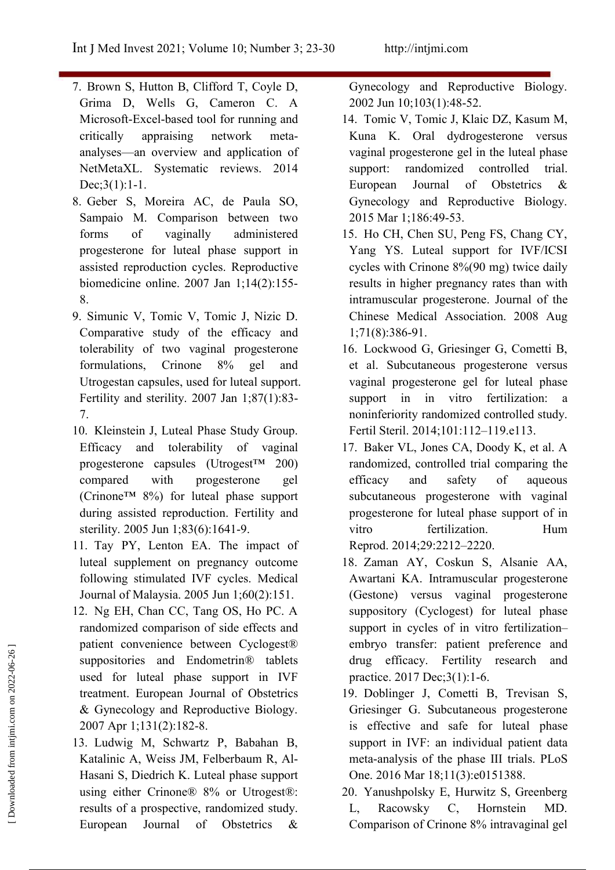- 7. Brown S, Hutton B, Clifford T, Coyle D, Grima D, Wells G, Cameron C. A Microsoft-Excel-based tool for running and critically appraising network meta analyses—an overview and application of NetMetaXL. Systematic reviews. 2014 support: Dec;3(1):1-1.
- 8. Geber S, Moreira AC, de Paula SO, Sampaio M. Comparison between two progesterone for luteal phase support in assisted reproduction cycles. Reproductive biomedicine online. 2007 Jan 1;14(2):155- 8.
- 9. Simunic V, Tomic V, Tomic J, Nizic D. Comparative study of the efficacy and tolerability of two vaginal progesterone Utrogestan capsules, used for luteal support. Fertility and sterility. 2007 Jan 1;87(1):83- support 7.
- 10. Kleinstein J, Luteal Phase Study Group. Efficacy and tolerability of vaginal progesterone capsules (Utrogest™ 200) compared with progesterone gel (Crinone™ 8%) for luteal phase support during assisted reproduction. Fertility and sterility. 2005 Jun 1;83(6):1641-9.
- 11. Tay PY, Lenton EA. The impact of luteal supplement on pregnancy outcome following stimulated IVF cycles. Medical Journal of Malaysia. 2005 Jun 1;60(2):151.
- 12. Ng EH, Chan CC, Tang OS, Ho PC. A randomized comparison of side effects and patient convenience between Cyclogest® suppositories and Endometrin® tablets used for luteal phase support in IVF treatment. European Journal of Obstetrics & Gynecology and Reproductive Biology. 2007 Apr 1;131(2):182-8.
- 13. Ludwig M, Schwartz P, Babahan B, Katalinic A, Weiss JM, Felberbaum R, Al- Hasani S, Diedrich K. Luteal phase support using either Crinone® 8% or Utrogest®: results of a prospective, randomized study. L,

Gynecology and Reproductive Biology. 2002 Jun 10;103(1):48-52.

- 14. Tomic V, Tomic J, Klaic DZ, Kasum M, Kuna K. Oral dydrogesterone versus vaginal progesterone gel in the luteal phase randomized controlled trial. European Journal of Obstetrics  $\&$ Gynecology and Reproductive Biology. 2015 Mar 1;186:49-53.
- forms of vaginally administered 15. Ho CH, Chen SU, Peng FS, Chang CY, Yang YS. Luteal support for IVF/ICSI cycles with Crinone 8%(90 mg) twice daily results in higher pregnancy rates than with intramuscular progesterone. Journal of the Chinese Medical Association. 2008 Aug 1;71(8):386-91.
- formulations, Crinone 8% gel and et al. Subcutaneous progesterone versus 16. Lockwood G, Griesinger G, Cometti B, vaginal progesterone gel for luteal phase in in vitro fertilization: a noninferiority randomized controlled study. Fertil Steril. 2014;101:112–119.e113.
	- 17. Baker VL, Jones CA, Doody K, et al. A randomized, controlled trial comparing the efficacy and safety of aqueous subcutaneous progesterone with vaginal progesterone for luteal phase support of in vitro fertilization. Hum Reprod. 2014;29:2212–2220.
	- 18. Zaman AY, Coskun S, Alsanie AA, Awartani KA. Intramuscular progesterone (Gestone) versus vaginal progesterone suppository (Cyclogest) for luteal phase support in cycles of in vitro fertilization– embryo transfer: patient preference and drug efficacy. Fertility research and practice. 2017 Dec;3(1):1-6.
- 19. Doblinger J, Cometti B, Trevisan S, Griesinger G. Subcutaneous progesterone is effective and safe for luteal phase support in IVF: an individual patient data meta-analysis of the phase III trials. PLoS One. 2016 Mar 18;11(3):e0151388. patient convenience between Cyclogest®<br>
suppositories and Endometrin® tablets<br>
drug efficacy. Fertility research and<br>
used for luteal phase support in IVF<br>
reatment. European Journal of Obstetrics<br>
2007 Apr 1;131(2):182-8.
	- European Journal of Obstetrics  $\&$  Comparison of Crinone 8% intravaginal gel 20.Yanushpolsky E, Hurwitz S, Greenberg Racowsky C, Hornstein MD.